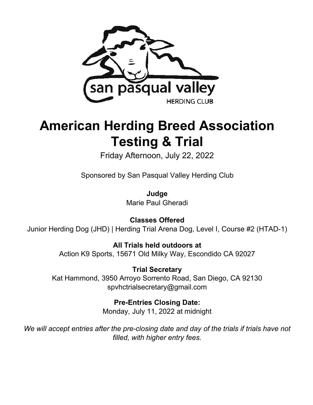

# **American Herding Breed Association Testing & Trial**

Friday Afternoon, July 22, 2022

Sponsored by San Pasqual Valley Herding Club

**Judge** Marie Paul Gheradi

**Classes Offered** Junior Herding Dog (JHD) | Herding Trial Arena Dog, Level I, Course #2 (HTAD-1)

> **All Trials held outdoors at**  Action K9 Sports, 15671 Old Milky Way, Escondido CA 92027

**Trial Secretary** Kat Hammond, 3950 Arroyo Sorrento Road, San Diego, CA 92130 spvhctrialsecretary@gmail.com

> **Pre-Entries Closing Date:** Monday, July 11, 2022 at midnight

*We will accept entries after the pre-closing date and day of the trials if trials have not filled, with higher entry fees.*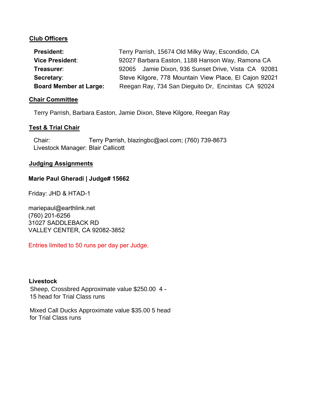#### **Club Officers**

| <b>President:</b>             | Terry Parrish, 15674 Old Milky Way, Escondido, CA      |  |  |
|-------------------------------|--------------------------------------------------------|--|--|
| <b>Vice President:</b>        | 92027 Barbara Easton, 1188 Hanson Way, Ramona CA       |  |  |
| Treasurer:                    | 92065 Jamie Dixon, 936 Sunset Drive, Vista CA 92081    |  |  |
| Secretary:                    | Steve Kilgore, 778 Mountain View Place, El Cajon 92021 |  |  |
| <b>Board Member at Large:</b> | Reegan Ray, 734 San Dieguito Dr, Encinitas CA 92024    |  |  |

#### **Chair Committee**

Terry Parrish, Barbara Easton, Jamie Dixon, Steve Kilgore, Reegan Ray

#### **Test & Trial Chair**

Chair: Terry Parrish, blazingbc@aol.com; (760) 739-8673 Livestock Manager: Blair Callicott

#### **Judging Assignments**

#### **Marie Paul Gheradi | Judge# 15662**

Friday: JHD & HTAD-1

mariepaul@earthlink.net (760) 201-6256 31027 SADDLEBACK RD VALLEY CENTER, CA 92082-3852

Entries limited to 50 runs per day per Judge.

#### **Livestock**

Sheep, Crossbred Approximate value \$250.00 4 - 15 head for Trial Class runs

Mixed Call Ducks Approximate value \$35.00 5 head for Trial Class runs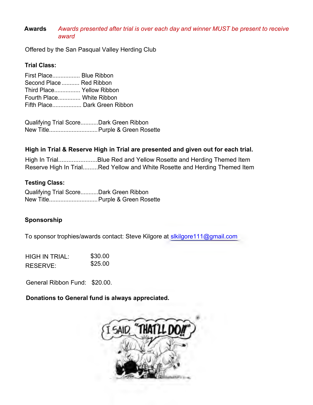#### **Awards**  *Awards presented after trial is over each day and winner MUST be present to receive award*

Offered by the San Pasqual Valley Herding Club

#### **Trial Class:**

First Place................. Blue Ribbon Second Place........... Red Ribbon Third Place................ Yellow Ribbon Fourth Place.............. White Ribbon Fifth Place.................. Dark Green Ribbon

Qualifying Trial Score...........Dark Green Ribbon New Title.............................. Purple & Green Rosette

### **High in Trial & Reserve High in Trial are presented and given out for each trial.**

High In Trial.......................Blue Red and Yellow Rosette and Herding Themed Item Reserve High In Trial.........Red Yellow and White Rosette and Herding Themed Item

### **Testing Class:**

Qualifying Trial Score...........Dark Green Ribbon New Title.............................. Purple & Green Rosette

#### **Sponsorship**

To sponsor trophies/awards contact: Steve Kilgore at slkilgore111@gmail.com

| HIGH IN TRIAL: | \$30.00 |
|----------------|---------|
| RESERVE:       | \$25.00 |

General Ribbon Fund: \$20.00.

**Donations to General fund is always appreciated.** 

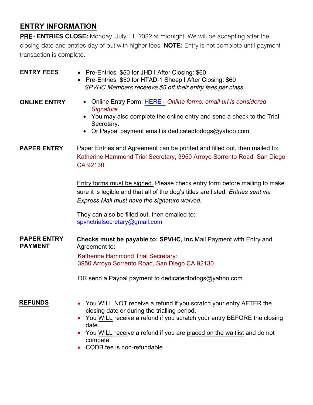## **ENTRY INFORMATION**

PRE - **ENTRIES CLOSE:** Monday, July 11, 2022 at midnight. We will be accepting after the closing date and entries day of but with higher fees. **NOTE:** Entry is not complete until payment transaction is complete.

| <b>ENTRY FEES</b>                    | • Pre-Entries \$50 for JHD I After Closing: \$60<br>• Pre-Entries \$50 for HTAD-1 Sheep I After Closing: \$60<br>SPVHC Members receieve \$5 off their entry fees per class                                                                                                                                                                                                                                                                                                   |  |  |
|--------------------------------------|------------------------------------------------------------------------------------------------------------------------------------------------------------------------------------------------------------------------------------------------------------------------------------------------------------------------------------------------------------------------------------------------------------------------------------------------------------------------------|--|--|
| <b>ONLINE ENTRY</b>                  | Online Entry Form: HERE - Online forms, email url is considered<br>$\bullet$<br><b>Signature</b><br>You may also complete the online entry and send a check to the Trial<br>$\bullet$<br>Secretary.<br>Or Paypal payment email is dedicatedtodogs@yahoo.com                                                                                                                                                                                                                  |  |  |
| <b>PAPER ENTRY</b>                   | Paper Entries and Agreement can be printed and filled out, then mailed to:<br>Katherine Hammond Trial Secretary, 3950 Arroyo Sorrento Road, San Diego<br>CA 92130<br><b>Entry forms must be signed. Please check entry form before mailing to make</b><br>sure it is legible and that all of the dog's titles are listed. Entries sent via<br>Express Mail must have the signature waived.<br>They can also be filled out, then emailed to:<br>spyhctrialsecretary@gmail.com |  |  |
| <b>PAPER ENTRY</b><br><b>PAYMENT</b> | Checks must be payable to: SPVHC, Inc Mail Payment with Entry and<br>Agreement to:<br>Katherine Hammond Trial Secretary:<br>3950 Arroyo Sorrento Road, San Diego CA 92130<br>OR send a Paypal payment to dedicated todogs@yahoo.com                                                                                                                                                                                                                                          |  |  |
| <b>REFUNDS</b>                       | You WILL NOT receive a refund if you scratch your entry AFTER the<br>closing date or during the trialling period.<br>You WILL receive a refund if you scratch your entry BEFORE the closing<br>date.<br>You WILL receive a refund if you are placed on the waitlist and do not<br>compete.<br>CODB fee is non-refundable                                                                                                                                                     |  |  |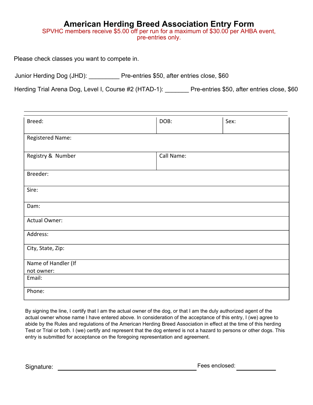## **American Herding Breed Association Entry Form**

SPVHC members receive \$5.00 off per run for a maximum of \$30.00 per AHBA event, pre-entries only.

Please check classes you want to compete in.

Junior Herding Dog (JHD): Pre-entries \$50, after entries close, \$60

Herding Trial Arena Dog, Level I, Course #2 (HTAD-1): Pre-entries \$50, after entries close, \$60

| Breed:                            | DOB:       | Sex: |  |  |  |
|-----------------------------------|------------|------|--|--|--|
| Registered Name:                  |            |      |  |  |  |
| Registry & Number                 | Call Name: |      |  |  |  |
| Breeder:                          |            |      |  |  |  |
| Sire:                             |            |      |  |  |  |
| Dam:                              |            |      |  |  |  |
| <b>Actual Owner:</b>              |            |      |  |  |  |
| Address:                          |            |      |  |  |  |
| City, State, Zip:                 |            |      |  |  |  |
| Name of Handler (If<br>not owner: |            |      |  |  |  |
| Email:                            |            |      |  |  |  |
| Phone:                            |            |      |  |  |  |

By signing the line, I certify that I am the actual owner of the dog, or that I am the duly authorized agent of the actual owner whose name I have entered above. In consideration of the acceptance of this entry, I (we) agree to abide by the Rules and regulations of the American Herding Breed Association in effect at the time of this herding Test or Trial or both. I (we) certify and represent that the dog entered is not a hazard to persons or other dogs. This entry is submitted for acceptance on the foregoing representation and agreement.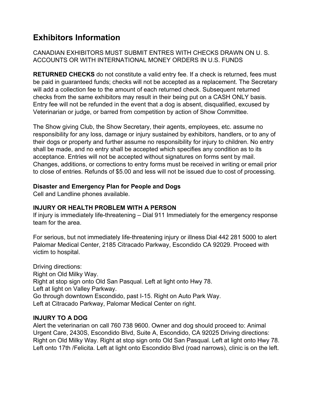## **Exhibitors Information**

CANADIAN EXHIBITORS MUST SUBMIT ENTRES WITH CHECKS DRAWN ON U. S. ACCOUNTS OR WITH INTERNATIONAL MONEY ORDERS IN U.S. FUNDS

**RETURNED CHECKS** do not constitute a valid entry fee. If a check is returned, fees must be paid in guaranteed funds; checks will not be accepted as a replacement. The Secretary will add a collection fee to the amount of each returned check. Subsequent returned checks from the same exhibitors may result in their being put on a CASH ONLY basis. Entry fee will not be refunded in the event that a dog is absent, disqualified, excused by Veterinarian or judge, or barred from competition by action of Show Committee.

The Show giving Club, the Show Secretary, their agents, employees, etc. assume no responsibility for any loss, damage or injury sustained by exhibitors, handlers, or to any of their dogs or property and further assume no responsibility for injury to children. No entry shall be made, and no entry shall be accepted which specifies any condition as to its acceptance. Entries will not be accepted without signatures on forms sent by mail. Changes, additions, or corrections to entry forms must be received in writing or email prior to close of entries. Refunds of \$5.00 and less will not be issued due to cost of processing.

### **Disaster and Emergency Plan for People and Dogs**

Cell and Landline phones available.

### **INJURY OR HEALTH PROBLEM WITH A PERSON**

If injury is immediately life-threatening – Dial 911 Immediately for the emergency response team for the area.

For serious, but not immediately life-threatening injury or illness Dial 442 281 5000 to alert Palomar Medical Center, 2185 Citracado Parkway, Escondido CA 92029. Proceed with victim to hospital.

Driving directions: Right on Old Milky Way. Right at stop sign onto Old San Pasqual. Left at light onto Hwy 78. Left at light on Valley Parkway. Go through downtown Escondido, past I-15. Right on Auto Park Way. Left at Citracado Parkway, Palomar Medical Center on right.

### **INJURY TO A DOG**

Alert the veterinarian on call 760 738 9600. Owner and dog should proceed to: Animal Urgent Care, 2430S, Escondido Blvd, Suite A, Escondido, CA 92025 Driving directions: Right on Old Milky Way. Right at stop sign onto Old San Pasqual. Left at light onto Hwy 78. Left onto 17th /Felicita. Left at light onto Escondido Blvd (road narrows), clinic is on the left.